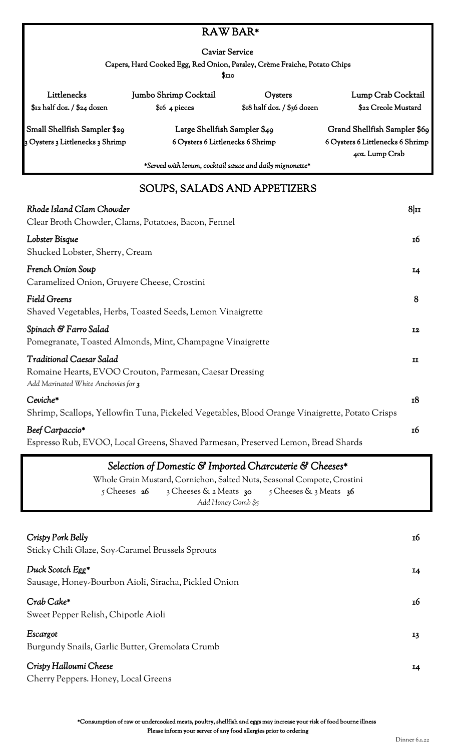#### RAW BAR\*

Caviar Service

Capers, Hard Cooked Egg, Red Onion, Parsley, Crème Fraiche, Potato Chips

 $$110$ 

| Littlenecks                      | Jumbo Shrimp Cocktail            | Oysters                       | Lump Crab Cocktail               |
|----------------------------------|----------------------------------|-------------------------------|----------------------------------|
| $$z_2$ half doz. / $$z_4$ dozen  | $$16 \, 4 \, pieces$             | $$18$ half doz. / $$36$ dozen | \$22 Creole Mustard              |
| Small Shellfish Sampler \$29     | Large Shellfish Sampler \$49     |                               | Grand Shellfish Sampler \$69     |
| 3 Oysters 3 Littlenecks 3 Shrimp | 6 Oysters 6 Littlenecks 6 Shrimp |                               | 6 Oysters 6 Littlenecks 6 Shrimp |
|                                  |                                  |                               | 40z. Lump Crab                   |

*\*Served with lemon, cocktail sauce and daily mignonette\**

## SOUPS, SALADS AND APPETIZERS

| Rhode Island Clam Chowder<br>Clear Broth Chowder, Clams, Potatoes, Bacon, Fennel                                                  | $8\vert\mathbf{u}\vert$ |
|-----------------------------------------------------------------------------------------------------------------------------------|-------------------------|
| Lobster Bisque<br>Shucked Lobster, Sherry, Cream                                                                                  | 16                      |
| French Onion Soup<br>Caramelized Onion, Gruyere Cheese, Crostini                                                                  | 14                      |
| <b>Field Greens</b><br>Shaved Vegetables, Herbs, Toasted Seeds, Lemon Vinaigrette                                                 | 8                       |
| Spinach & Farro Salad<br>Pomegranate, Toasted Almonds, Mint, Champagne Vinaigrette                                                | <b>I2</b>               |
| <b>Traditional Caesar Salad</b><br>Romaine Hearts, EVOO Crouton, Parmesan, Caesar Dressing<br>Add Marinated White Anchovies for 3 | $\mathbf{I}$            |
| Ceviche*<br>Shrimp, Scallops, Yellowfin Tuna, Pickeled Vegetables, Blood Orange Vinaigrette, Potato Crisps                        | 18                      |
| Beef Carpaccio*<br>Espresso Rub, EVOO, Local Greens, Shaved Parmesan, Preserved Lemon, Bread Shards                               | 16                      |

### *Selection of Domestic & Imported Charcuterie & Cheeses\**

Whole Grain Mustard, Cornichon, Salted Nuts, Seasonal Compote, Crostini 5 Cheeses 26 <sup>3</sup> 3 Cheeses & 2 Meats 30 5 Cheeses & 3 Meats 36 *Add Honey Comb \$5*

| Crispy Pork Belly<br>Sticky Chili Glaze, Soy-Caramel Brussels Sprouts    | 16 |
|--------------------------------------------------------------------------|----|
| Duck Scotch Egg*<br>Sausage, Honey-Bourbon Aioli, Siracha, Pickled Onion | 14 |
| Crab Cake*<br>Sweet Pepper Relish, Chipotle Aioli                        | 16 |
| Escargot<br>Burgundy Snails, Garlic Butter, Gremolata Crumb              | 13 |
| Crispy Halloumi Cheese<br>Cherry Peppers. Honey, Local Greens            | 14 |